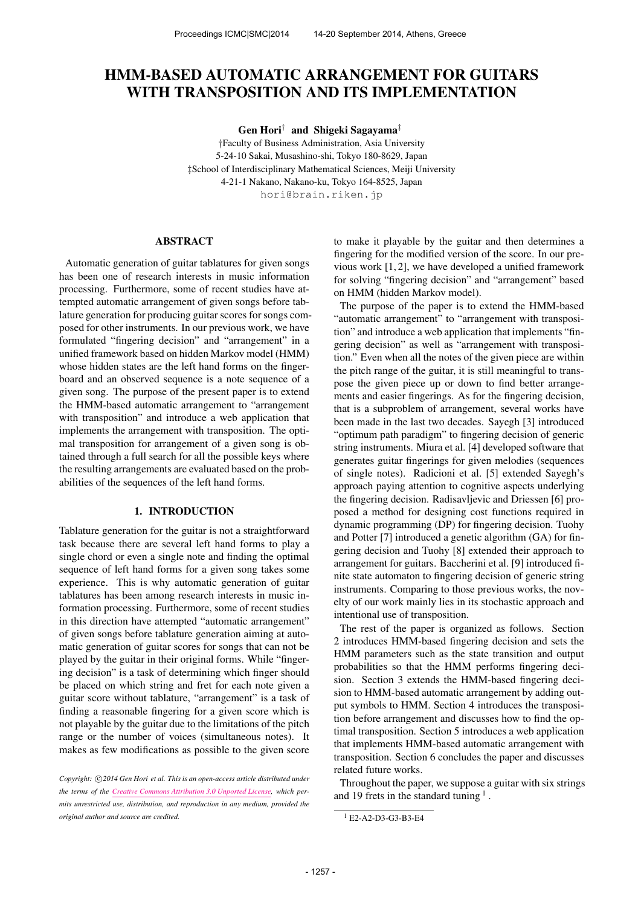# HMM-BASED AUTOMATIC ARRANGEMENT FOR GUITARS WITH TRANSPOSITION AND ITS IMPLEMENTATION

Gen Hori† and Shigeki Sagayama‡

†Faculty of Business Administration, Asia University 5-24-10 Sakai, Musashino-shi, Tokyo 180-8629, Japan ‡School of Interdisciplinary Mathematical Sciences, Meiji University 4-21-1 Nakano, Nakano-ku, Tokyo 164-8525, Japan [hori@brain.riken.jp](mailto:hori@brin.riken.jp)

#### ABSTRACT

Automatic generation of guitar tablatures for given songs has been one of research interests in music information processing. Furthermore, some of recent studies have attempted automatic arrangement of given songs before tablature generation for producing guitar scores for songs composed for other instruments. In our previous work, we have formulated "fingering decision" and "arrangement" in a unified framework based on hidden Markov model (HMM) whose hidden states are the left hand forms on the fingerboard and an observed sequence is a note sequence of a given song. The purpose of the present paper is to extend the HMM-based automatic arrangement to "arrangement with transposition" and introduce a web application that implements the arrangement with transposition. The optimal transposition for arrangement of a given song is obtained through a full search for all the possible keys where the resulting arrangements are evaluated based on the probabilities of the sequences of the left hand forms.

## 1. INTRODUCTION

Tablature generation for the guitar is not a straightforward task because there are several left hand forms to play a single chord or even a single note and finding the optimal sequence of left hand forms for a given song takes some experience. This is why automatic generation of guitar tablatures has been among research interests in music information processing. Furthermore, some of recent studies in this direction have attempted "automatic arrangement" of given songs before tablature generation aiming at automatic generation of guitar scores for songs that can not be played by the guitar in their original forms. While "fingering decision" is a task of determining which finger should be placed on which string and fret for each note given a guitar score without tablature, "arrangement" is a task of finding a reasonable fingering for a given score which is not playable by the guitar due to the limitations of the pitch range or the number of voices (simultaneous notes). It makes as few modifications as possible to the given score to make it playable by the guitar and then determines a fingering for the modified version of the score. In our previous work [1, 2], we have developed a unified framework for solving "fingering decision" and "arrangement" based on HMM (hidden Markov model).

The purpose of the paper is to extend the HMM-based "automatic arrangement" to "arrangement with transposition" and introduce a web application that implements "fingering decision" as well as "arrangement with transposition." Even when all the notes of the given piece are within the pitch range of the guitar, it is still meaningful to transpose the given piece up or down to find better arrangements and easier fingerings. As for the fingering decision, that is a subproblem of arrangement, several works have been made in the last two decades. Sayegh [3] introduced "optimum path paradigm" to fingering decision of generic string instruments. Miura et al. [4] developed software that generates guitar fingerings for given melodies (sequences of single notes). Radicioni et al. [5] extended Sayegh's approach paying attention to cognitive aspects underlying the fingering decision. Radisavljevic and Driessen [6] proposed a method for designing cost functions required in dynamic programming (DP) for fingering decision. Tuohy and Potter [7] introduced a genetic algorithm (GA) for fingering decision and Tuohy [8] extended their approach to arrangement for guitars. Baccherini et al. [9] introduced finite state automaton to fingering decision of generic string instruments. Comparing to those previous works, the novelty of our work mainly lies in its stochastic approach and intentional use of transposition.

The rest of the paper is organized as follows. Section 2 introduces HMM-based fingering decision and sets the HMM parameters such as the state transition and output probabilities so that the HMM performs fingering decision. Section 3 extends the HMM-based fingering decision to HMM-based automatic arrangement by adding output symbols to HMM. Section 4 introduces the transposition before arrangement and discusses how to find the optimal transposition. Section 5 introduces a web application that implements HMM-based automatic arrangement with transposition. Section 6 concludes the paper and discusses related future works.

Throughout the paper, we suppose a guitar with six strings and 19 frets in the standard tuning  $<sup>1</sup>$ .</sup>

Copyright:  $\bigcirc$ 2014 Gen Hori et al. This is an open-access article distributed under *the terms of the [Creative Commons Attribution 3.0 Unported License,](http://creativecommons.org/licenses/by/3.0/) which permits unrestricted use, distribution, and reproduction in any medium, provided the original author and source are credited.*

<sup>1</sup> E2-A2-D3-G3-B3-E4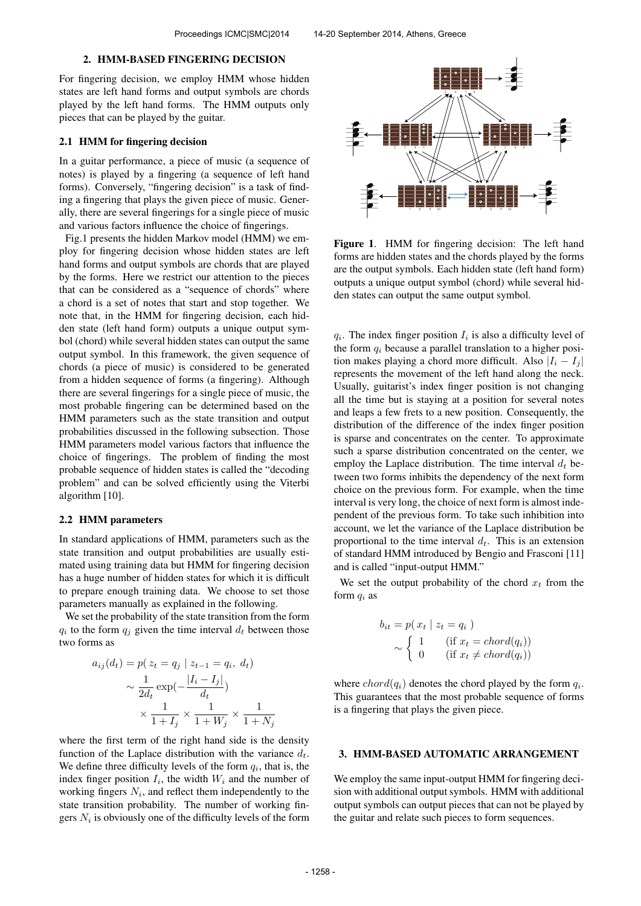### 2. HMM-BASED FINGERING DECISION

For fingering decision, we employ HMM whose hidden states are left hand forms and output symbols are chords played by the left hand forms. The HMM outputs only pieces that can be played by the guitar.

#### 2.1 HMM for fingering decision

In a guitar performance, a piece of music (a sequence of notes) is played by a fingering (a sequence of left hand forms). Conversely, "fingering decision" is a task of finding a fingering that plays the given piece of music. Generally, there are several fingerings for a single piece of music and various factors influence the choice of fingerings.

Fig.1 presents the hidden Markov model (HMM) we employ for fingering decision whose hidden states are left hand forms and output symbols are chords that are played by the forms. Here we restrict our attention to the pieces that can be considered as a "sequence of chords" where a chord is a set of notes that start and stop together. We note that, in the HMM for fingering decision, each hidden state (left hand form) outputs a unique output symbol (chord) while several hidden states can output the same output symbol. In this framework, the given sequence of chords (a piece of music) is considered to be generated from a hidden sequence of forms (a fingering). Although there are several fingerings for a single piece of music, the most probable fingering can be determined based on the HMM parameters such as the state transition and output probabilities discussed in the following subsection. Those HMM parameters model various factors that influence the choice of fingerings. The problem of finding the most probable sequence of hidden states is called the "decoding problem" and can be solved efficiently using the Viterbi algorithm [10].

### 2.2 HMM parameters

In standard applications of HMM, parameters such as the state transition and output probabilities are usually estimated using training data but HMM for fingering decision has a huge number of hidden states for which it is difficult to prepare enough training data. We choose to set those parameters manually as explained in the following.

We set the probability of the state transition from the form  $q_i$  to the form  $q_j$  given the time interval  $d_t$  between those two forms as

$$
a_{ij}(d_t) = p(z_t = q_j | z_{t-1} = q_i, d_t)
$$

$$
\sim \frac{1}{2d_t} \exp\left(-\frac{|I_i - I_j|}{d_t}\right)
$$

$$
\times \frac{1}{1 + I_j} \times \frac{1}{1 + W_j} \times \frac{1}{1 + N_j}
$$

where the first term of the right hand side is the density function of the Laplace distribution with the variance  $d_t$ . We define three difficulty levels of the form  $q_i$ , that is, the index finger position  $I_i$ , the width  $W_i$  and the number of working fingers  $N_i$ , and reflect them independently to the state transition probability. The number of working fingers  $N_i$  is obviously one of the difficulty levels of the form



Figure 1. HMM for fingering decision: The left hand forms are hidden states and the chords played by the forms are the output symbols. Each hidden state (left hand form) outputs a unique output symbol (chord) while several hidden states can output the same output symbol.

 $q_i$ . The index finger position  $I_i$  is also a difficulty level of the form  $q_i$  because a parallel translation to a higher position makes playing a chord more difficult. Also  $|I_i - I_j|$ represents the movement of the left hand along the neck. Usually, guitarist's index finger position is not changing all the time but is staying at a position for several notes and leaps a few frets to a new position. Consequently, the distribution of the difference of the index finger position is sparse and concentrates on the center. To approximate such a sparse distribution concentrated on the center, we employ the Laplace distribution. The time interval  $d_t$  between two forms inhibits the dependency of the next form choice on the previous form. For example, when the time interval is very long, the choice of next form is almost independent of the previous form. To take such inhibition into account, we let the variance of the Laplace distribution be proportional to the time interval  $d_t$ . This is an extension of standard HMM introduced by Bengio and Frasconi [11] and is called "input-output HMM."

We set the output probability of the chord  $x_t$  from the form  $q_i$  as

$$
b_{it} = p(x_t | z_t = q_i)
$$
  
 
$$
\sim \begin{cases} 1 & (\text{if } x_t = chord(q_i)) \\ 0 & (\text{if } x_t \neq chord(q_i)) \end{cases}
$$

where  $chord(q_i)$  denotes the chord played by the form  $q_i$ . This guarantees that the most probable sequence of forms is a fingering that plays the given piece.

## 3. HMM-BASED AUTOMATIC ARRANGEMENT

We employ the same input-output HMM for fingering decision with additional output symbols. HMM with additional output symbols can output pieces that can not be played by the guitar and relate such pieces to form sequences.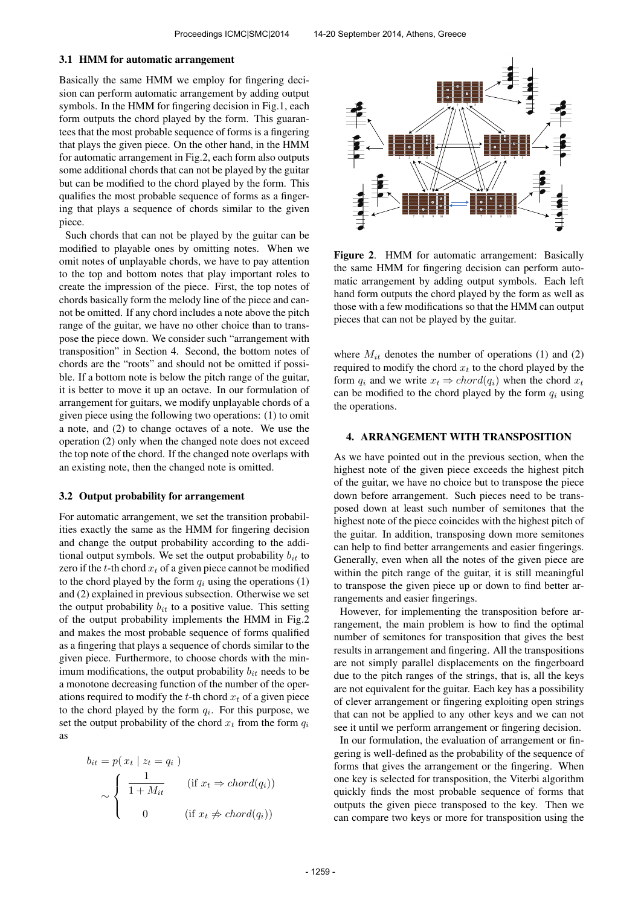#### 3.1 HMM for automatic arrangement

Basically the same HMM we employ for fingering decision can perform automatic arrangement by adding output symbols. In the HMM for fingering decision in Fig.1, each form outputs the chord played by the form. This guarantees that the most probable sequence of forms is a fingering that plays the given piece. On the other hand, in the HMM for automatic arrangement in Fig.2, each form also outputs some additional chords that can not be played by the guitar but can be modified to the chord played by the form. This qualifies the most probable sequence of forms as a fingering that plays a sequence of chords similar to the given piece.

Such chords that can not be played by the guitar can be modified to playable ones by omitting notes. When we omit notes of unplayable chords, we have to pay attention to the top and bottom notes that play important roles to create the impression of the piece. First, the top notes of chords basically form the melody line of the piece and cannot be omitted. If any chord includes a note above the pitch range of the guitar, we have no other choice than to transpose the piece down. We consider such "arrangement with transposition" in Section 4. Second, the bottom notes of chords are the "roots" and should not be omitted if possible. If a bottom note is below the pitch range of the guitar, it is better to move it up an octave. In our formulation of arrangement for guitars, we modify unplayable chords of a given piece using the following two operations: (1) to omit a note, and (2) to change octaves of a note. We use the operation (2) only when the changed note does not exceed the top note of the chord. If the changed note overlaps with an existing note, then the changed note is omitted.

#### 3.2 Output probability for arrangement

For automatic arrangement, we set the transition probabilities exactly the same as the HMM for fingering decision and change the output probability according to the additional output symbols. We set the output probability  $b_{it}$  to zero if the  $t$ -th chord  $x_t$  of a given piece cannot be modified to the chord played by the form  $q_i$  using the operations (1) and (2) explained in previous subsection. Otherwise we set the output probability  $b_{it}$  to a positive value. This setting of the output probability implements the HMM in Fig.2 and makes the most probable sequence of forms qualified as a fingering that plays a sequence of chords similar to the given piece. Furthermore, to choose chords with the minimum modifications, the output probability  $b_{it}$  needs to be a monotone decreasing function of the number of the operations required to modify the t-th chord  $x_t$  of a given piece to the chord played by the form  $q_i$ . For this purpose, we set the output probability of the chord  $x_t$  from the form  $q_i$ as

$$
b_{it} = p(x_t | z_t = q_i)
$$
  
\n
$$
\sim \begin{cases} \frac{1}{1 + M_{it}} & (\text{if } x_t \Rightarrow chord(q_i)) \\ 0 & (\text{if } x_t \neq chord(q_i)) \end{cases}
$$



Figure 2. HMM for automatic arrangement: Basically the same HMM for fingering decision can perform automatic arrangement by adding output symbols. Each left hand form outputs the chord played by the form as well as those with a few modifications so that the HMM can output pieces that can not be played by the guitar.

where  $M_{it}$  denotes the number of operations (1) and (2) required to modify the chord  $x_t$  to the chord played by the form  $q_i$  and we write  $x_t \Rightarrow chord(q_i)$  when the chord  $x_t$ can be modified to the chord played by the form  $q_i$  using the operations.

### 4. ARRANGEMENT WITH TRANSPOSITION

As we have pointed out in the previous section, when the highest note of the given piece exceeds the highest pitch of the guitar, we have no choice but to transpose the piece down before arrangement. Such pieces need to be transposed down at least such number of semitones that the highest note of the piece coincides with the highest pitch of the guitar. In addition, transposing down more semitones can help to find better arrangements and easier fingerings. Generally, even when all the notes of the given piece are within the pitch range of the guitar, it is still meaningful to transpose the given piece up or down to find better arrangements and easier fingerings.

However, for implementing the transposition before arrangement, the main problem is how to find the optimal number of semitones for transposition that gives the best results in arrangement and fingering. All the transpositions are not simply parallel displacements on the fingerboard due to the pitch ranges of the strings, that is, all the keys are not equivalent for the guitar. Each key has a possibility of clever arrangement or fingering exploiting open strings that can not be applied to any other keys and we can not see it until we perform arrangement or fingering decision.

In our formulation, the evaluation of arrangement or fingering is well-defined as the probability of the sequence of forms that gives the arrangement or the fingering. When one key is selected for transposition, the Viterbi algorithm quickly finds the most probable sequence of forms that outputs the given piece transposed to the key. Then we can compare two keys or more for transposition using the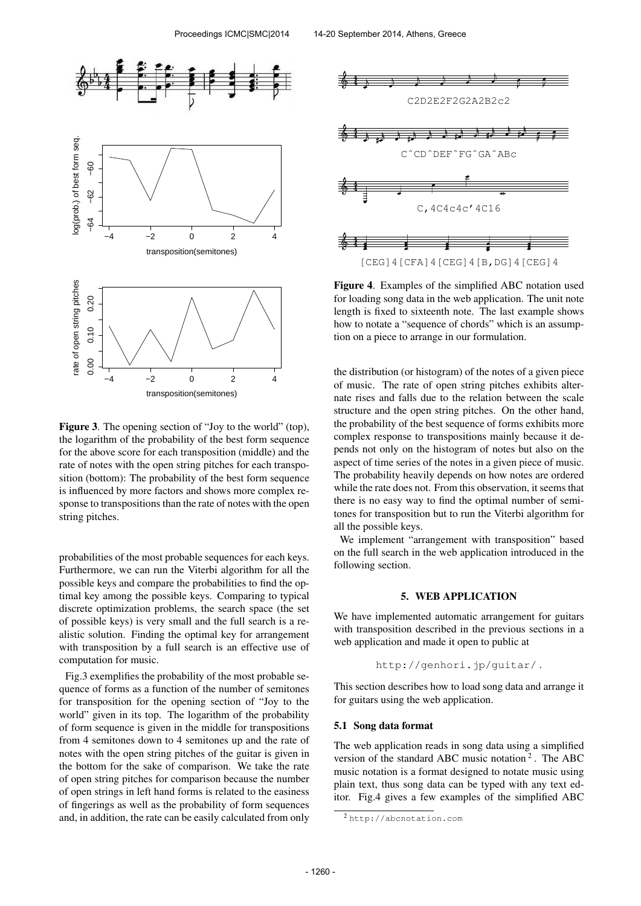

Figure 3. The opening section of "Joy to the world" (top), the logarithm of the probability of the best form sequence for the above score for each transposition (middle) and the rate of notes with the open string pitches for each transposition (bottom): The probability of the best form sequence is influenced by more factors and shows more complex response to transpositions than the rate of notes with the open string pitches.

probabilities of the most probable sequences for each keys. Furthermore, we can run the Viterbi algorithm for all the possible keys and compare the probabilities to find the optimal key among the possible keys. Comparing to typical discrete optimization problems, the search space (the set of possible keys) is very small and the full search is a realistic solution. Finding the optimal key for arrangement with transposition by a full search is an effective use of computation for music.

Fig.3 exemplifies the probability of the most probable sequence of forms as a function of the number of semitones for transposition for the opening section of "Joy to the world" given in its top. The logarithm of the probability of form sequence is given in the middle for transpositions from 4 semitones down to 4 semitones up and the rate of notes with the open string pitches of the guitar is given in the bottom for the sake of comparison. We take the rate of open string pitches for comparison because the number of open strings in left hand forms is related to the easiness of fingerings as well as the probability of form sequences and, in addition, the rate can be easily calculated from only



Figure 4. Examples of the simplified ABC notation used for loading song data in the web application. The unit note length is fixed to sixteenth note. The last example shows how to notate a "sequence of chords" which is an assumption on a piece to arrange in our formulation.

the distribution (or histogram) of the notes of a given piece of music. The rate of open string pitches exhibits alternate rises and falls due to the relation between the scale structure and the open string pitches. On the other hand, the probability of the best sequence of forms exhibits more complex response to transpositions mainly because it depends not only on the histogram of notes but also on the aspect of time series of the notes in a given piece of music. The probability heavily depends on how notes are ordered while the rate does not. From this observation, it seems that there is no easy way to find the optimal number of semitones for transposition but to run the Viterbi algorithm for all the possible keys.

We implement "arrangement with transposition" based on the full search in the web application introduced in the following section.

## 5. WEB APPLICATION

We have implemented automatic arrangement for guitars with transposition described in the previous sections in a web application and made it open to public at

http://genhori.jp/guitar/ .

This section describes how to load song data and arrange it for guitars using the web application.

### 5.1 Song data format

The web application reads in song data using a simplified version of the standard ABC music notation<sup>2</sup>. The ABC music notation is a format designed to notate music using plain text, thus song data can be typed with any text editor. Fig.4 gives a few examples of the simplified ABC

<sup>2</sup> http://abcnotation.com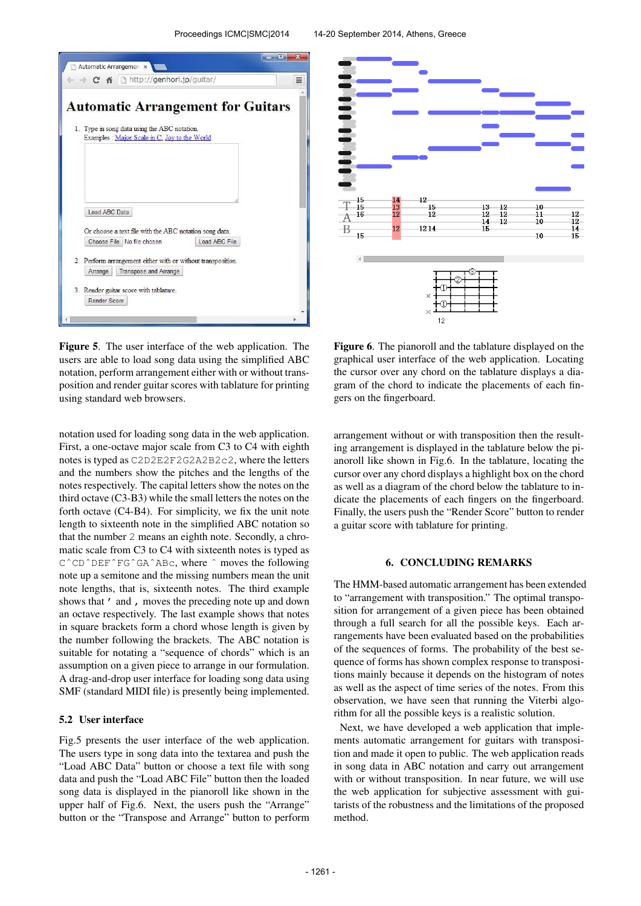



Figure 5. The user interface of the web application. The users are able to load song data using the simplified ABC notation, perform arrangement either with or without transposition and render guitar scores with tablature for printing using standard web browsers.

notation used for loading song data in the web application. First, a one-octave major scale from C3 to C4 with eighth notes is typed as C2D2E2F2G2A2B2c2, where the letters and the numbers show the pitches and the lengths of the notes respectively. The capital letters show the notes on the third octave (C3-B3) while the small letters the notes on the forth octave (C4-B4). For simplicity, we fix the unit note length to sixteenth note in the simplified ABC notation so that the number 2 means an eighth note. Secondly, a chromatic scale from C3 to C4 with sixteenth notes is typed as CˆCDˆDEFˆFGˆGAˆABc, where ˆ moves the following note up a semitone and the missing numbers mean the unit note lengths, that is, sixteenth notes. The third example shows that ' and , moves the preceding note up and down an octave respectively. The last example shows that notes in square brackets form a chord whose length is given by the number following the brackets. The ABC notation is suitable for notating a "sequence of chords" which is an assumption on a given piece to arrange in our formulation. A drag-and-drop user interface for loading song data using SMF (standard MIDI file) is presently being implemented.

## 5.2 User interface

Fig.5 presents the user interface of the web application. The users type in song data into the textarea and push the "Load ABC Data" button or choose a text file with song data and push the "Load ABC File" button then the loaded song data is displayed in the pianoroll like shown in the upper half of Fig.6. Next, the users push the "Arrange" button or the "Transpose and Arrange" button to perform

Figure 6. The pianoroll and the tablature displayed on the graphical user interface of the web application. Locating the cursor over any chord on the tablature displays a diagram of the chord to indicate the placements of each fingers on the fingerboard.

arrangement without or with transposition then the resulting arrangement is displayed in the tablature below the pianoroll like shown in Fig.6. In the tablature, locating the cursor over any chord displays a highlight box on the chord as well as a diagram of the chord below the tablature to indicate the placements of each fingers on the fingerboard. Finally, the users push the "Render Score" button to render a guitar score with tablature for printing.

## 6. CONCLUDING REMARKS

The HMM-based automatic arrangement has been extended to "arrangement with transposition." The optimal transposition for arrangement of a given piece has been obtained through a full search for all the possible keys. Each arrangements have been evaluated based on the probabilities of the sequences of forms. The probability of the best sequence of forms has shown complex response to transpositions mainly because it depends on the histogram of notes as well as the aspect of time series of the notes. From this observation, we have seen that running the Viterbi algorithm for all the possible keys is a realistic solution.

Next, we have developed a web application that implements automatic arrangement for guitars with transposition and made it open to public. The web application reads in song data in ABC notation and carry out arrangement with or without transposition. In near future, we will use the web application for subjective assessment with guitarists of the robustness and the limitations of the proposed method.